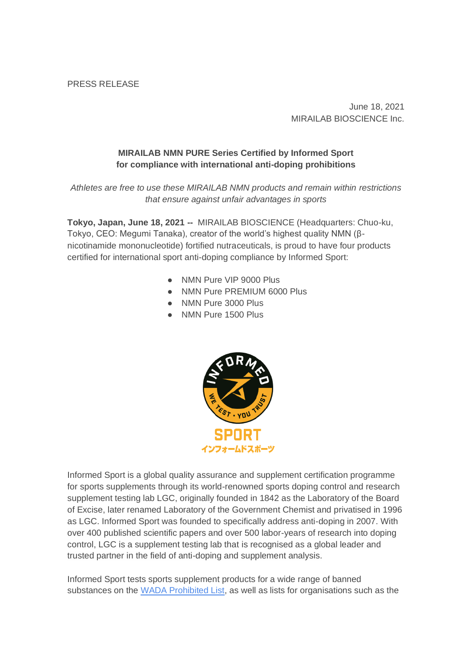PRESS RELEASE

June 18, 2021 MIRAILAB BIOSCIENCE Inc.

## **MIRAILAB NMN PURE Series Certified by Informed Sport for compliance with international anti-doping prohibitions**

*Athletes are free to use these MIRAILAB NMN products and remain within restrictions that ensure against unfair advantages in sports*

**Tokyo, Japan, June 18, 2021 --** MIRAILAB BIOSCIENCE (Headquarters: Chuo-ku, Tokyo, CEO: Megumi Tanaka), creator of the world's highest quality NMN (βnicotinamide mononucleotide) fortified nutraceuticals, is proud to have four products certified for international sport anti-doping compliance by Informed Sport:

- NMN Pure VIP 9000 Plus
- NMN Pure PREMIUM 6000 Plus
- NMN Pure 3000 Plus
- NMN Pure 1500 Plus



Informed Sport is a global quality assurance and supplement certification programme for sports supplements through its world-renowned sports doping control and research supplement testing lab LGC, originally founded in 1842 as the Laboratory of the Board of Excise, later renamed Laboratory of the Government Chemist and privatised in 1996 as LGC. Informed Sport was founded to specifically address anti-doping in 2007. With over 400 published scientific papers and over 500 labor-years of research into doping control, LGC is a supplement testing lab that is recognised as a global leader and trusted partner in the field of anti-doping and supplement analysis.

Informed Sport tests sports supplement products for a wide range of banned substances on the [WADA Prohibited List,](https://www.wada-ama.org/sites/default/files/resources/files/2021list_en.pdf) as well as lists for organisations such as the